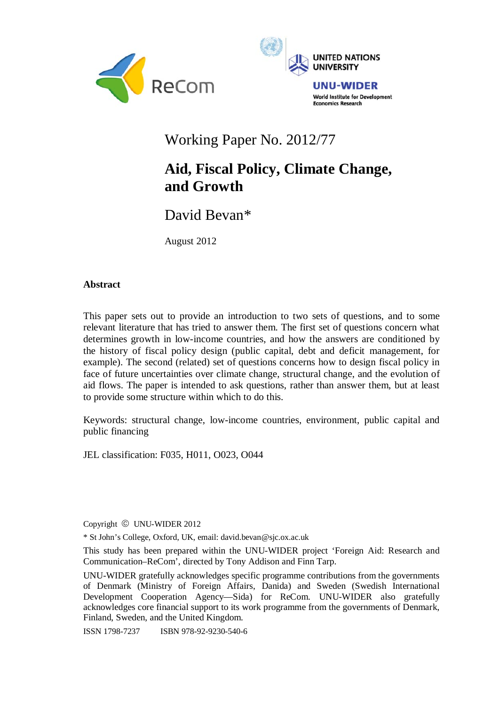



# Working Paper No. 2012/77

# **Aid, Fiscal Policy, Climate Change, and Growth**

David Bevan\*

August 2012

## **Abstract**

This paper sets out to provide an introduction to two sets of questions, and to some relevant literature that has tried to answer them. The first set of questions concern what determines growth in low-income countries, and how the answers are conditioned by the history of fiscal policy design (public capital, debt and deficit management, for example). The second (related) set of questions concerns how to design fiscal policy in face of future uncertainties over climate change, structural change, and the evolution of aid flows. The paper is intended to ask questions, rather than answer them, but at least to provide some structure within which to do this.

Keywords: structural change, low-income countries, environment, public capital and public financing

JEL classification: F035, H011, O023, O044

Copyright © UNU-WIDER 2012

\* St John's College, Oxford, UK, email: david.bevan@sjc.ox.ac.uk

This study has been prepared within the UNU-WIDER project 'Foreign Aid: Research and Communication–ReCom', directed by Tony Addison and Finn Tarp.

UNU-WIDER gratefully acknowledges specific programme contributions from the governments of Denmark (Ministry of Foreign Affairs, Danida) and Sweden (Swedish International Development Cooperation Agency—Sida) for ReCom. UNU-WIDER also gratefully acknowledges core financial support to its work programme from the governments of Denmark, Finland, Sweden, and the United Kingdom.

ISSN 1798-7237 ISBN 978-92-9230-540-6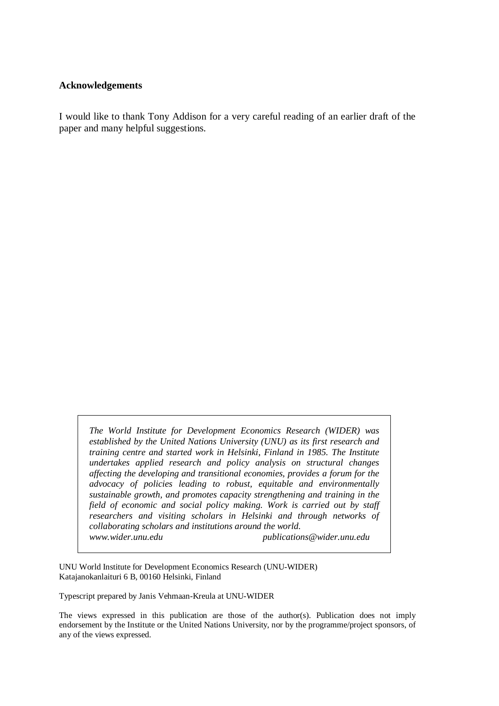#### **Acknowledgements**

I would like to thank Tony Addison for a very careful reading of an earlier draft of the paper and many helpful suggestions.

*The World Institute for Development Economics Research (WIDER) was established by the United Nations University (UNU) as its first research and training centre and started work in Helsinki, Finland in 1985. The Institute undertakes applied research and policy analysis on structural changes affecting the developing and transitional economies, provides a forum for the advocacy of policies leading to robust, equitable and environmentally sustainable growth, and promotes capacity strengthening and training in the field of economic and social policy making. Work is carried out by staff researchers and visiting scholars in Helsinki and through networks of collaborating scholars and institutions around the world. www.wider.unu.edu publications@wider.unu.edu* 

UNU World Institute for Development Economics Research (UNU-WIDER) Katajanokanlaituri 6 B, 00160 Helsinki, Finland

Typescript prepared by Janis Vehmaan-Kreula at UNU-WIDER

The views expressed in this publication are those of the author(s). Publication does not imply endorsement by the Institute or the United Nations University, nor by the programme/project sponsors, of any of the views expressed.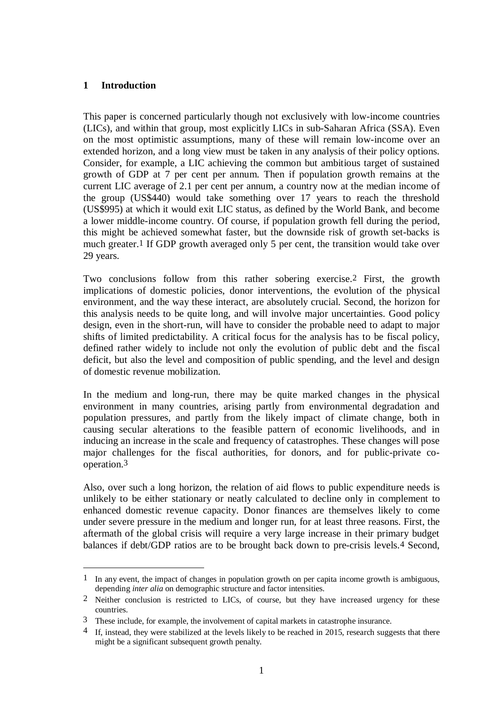# **1 Introduction**

1

This paper is concerned particularly though not exclusively with low-income countries (LICs), and within that group, most explicitly LICs in sub-Saharan Africa (SSA). Even on the most optimistic assumptions, many of these will remain low-income over an extended horizon, and a long view must be taken in any analysis of their policy options. Consider, for example, a LIC achieving the common but ambitious target of sustained growth of GDP at 7 per cent per annum. Then if population growth remains at the current LIC average of 2.1 per cent per annum, a country now at the median income of the group (US\$440) would take something over 17 years to reach the threshold (US\$995) at which it would exit LIC status, as defined by the World Bank, and become a lower middle-income country. Of course, if population growth fell during the period, this might be achieved somewhat faster, but the downside risk of growth set-backs is much greater.1 If GDP growth averaged only 5 per cent, the transition would take over 29 years.

Two conclusions follow from this rather sobering exercise.2 First, the growth implications of domestic policies, donor interventions, the evolution of the physical environment, and the way these interact, are absolutely crucial. Second, the horizon for this analysis needs to be quite long, and will involve major uncertainties. Good policy design, even in the short-run, will have to consider the probable need to adapt to major shifts of limited predictability. A critical focus for the analysis has to be fiscal policy, defined rather widely to include not only the evolution of public debt and the fiscal deficit, but also the level and composition of public spending, and the level and design of domestic revenue mobilization.

In the medium and long-run, there may be quite marked changes in the physical environment in many countries, arising partly from environmental degradation and population pressures, and partly from the likely impact of climate change, both in causing secular alterations to the feasible pattern of economic livelihoods, and in inducing an increase in the scale and frequency of catastrophes. These changes will pose major challenges for the fiscal authorities, for donors, and for public-private cooperation.3

Also, over such a long horizon, the relation of aid flows to public expenditure needs is unlikely to be either stationary or neatly calculated to decline only in complement to enhanced domestic revenue capacity. Donor finances are themselves likely to come under severe pressure in the medium and longer run, for at least three reasons. First, the aftermath of the global crisis will require a very large increase in their primary budget balances if debt/GDP ratios are to be brought back down to pre-crisis levels.4 Second,

<sup>1</sup> In any event, the impact of changes in population growth on per capita income growth is ambiguous, depending *inter alia* on demographic structure and factor intensities.

<sup>2</sup> Neither conclusion is restricted to LICs, of course, but they have increased urgency for these countries.

<sup>3</sup> These include, for example, the involvement of capital markets in catastrophe insurance.

<sup>&</sup>lt;sup>4</sup> If, instead, they were stabilized at the levels likely to be reached in 2015, research suggests that there might be a significant subsequent growth penalty.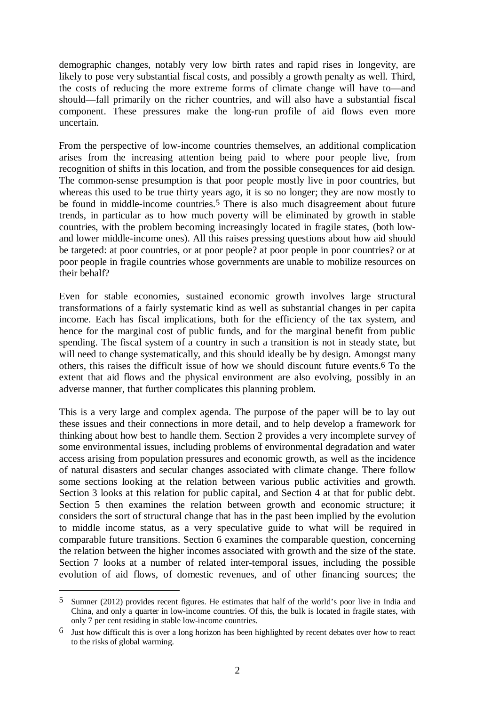demographic changes, notably very low birth rates and rapid rises in longevity, are likely to pose very substantial fiscal costs, and possibly a growth penalty as well. Third, the costs of reducing the more extreme forms of climate change will have to—and should—fall primarily on the richer countries, and will also have a substantial fiscal component. These pressures make the long-run profile of aid flows even more uncertain.

From the perspective of low-income countries themselves, an additional complication arises from the increasing attention being paid to where poor people live, from recognition of shifts in this location, and from the possible consequences for aid design. The common-sense presumption is that poor people mostly live in poor countries, but whereas this used to be true thirty years ago, it is so no longer; they are now mostly to be found in middle-income countries.<sup>5</sup> There is also much disagreement about future trends, in particular as to how much poverty will be eliminated by growth in stable countries, with the problem becoming increasingly located in fragile states, (both lowand lower middle-income ones). All this raises pressing questions about how aid should be targeted: at poor countries, or at poor people? at poor people in poor countries? or at poor people in fragile countries whose governments are unable to mobilize resources on their behalf?

Even for stable economies, sustained economic growth involves large structural transformations of a fairly systematic kind as well as substantial changes in per capita income. Each has fiscal implications, both for the efficiency of the tax system, and hence for the marginal cost of public funds, and for the marginal benefit from public spending. The fiscal system of a country in such a transition is not in steady state, but will need to change systematically, and this should ideally be by design. Amongst many others, this raises the difficult issue of how we should discount future events.6 To the extent that aid flows and the physical environment are also evolving, possibly in an adverse manner, that further complicates this planning problem.

This is a very large and complex agenda. The purpose of the paper will be to lay out these issues and their connections in more detail, and to help develop a framework for thinking about how best to handle them. Section 2 provides a very incomplete survey of some environmental issues, including problems of environmental degradation and water access arising from population pressures and economic growth, as well as the incidence of natural disasters and secular changes associated with climate change. There follow some sections looking at the relation between various public activities and growth. Section 3 looks at this relation for public capital, and Section 4 at that for public debt. Section 5 then examines the relation between growth and economic structure; it considers the sort of structural change that has in the past been implied by the evolution to middle income status, as a very speculative guide to what will be required in comparable future transitions. Section 6 examines the comparable question, concerning the relation between the higher incomes associated with growth and the size of the state. Section 7 looks at a number of related inter-temporal issues, including the possible evolution of aid flows, of domestic revenues, and of other financing sources; the

<sup>5</sup> Sumner (2012) provides recent figures. He estimates that half of the world's poor live in India and China, and only a quarter in low-income countries. Of this, the bulk is located in fragile states, with only 7 per cent residing in stable low-income countries.

<sup>6</sup> Just how difficult this is over a long horizon has been highlighted by recent debates over how to react to the risks of global warming.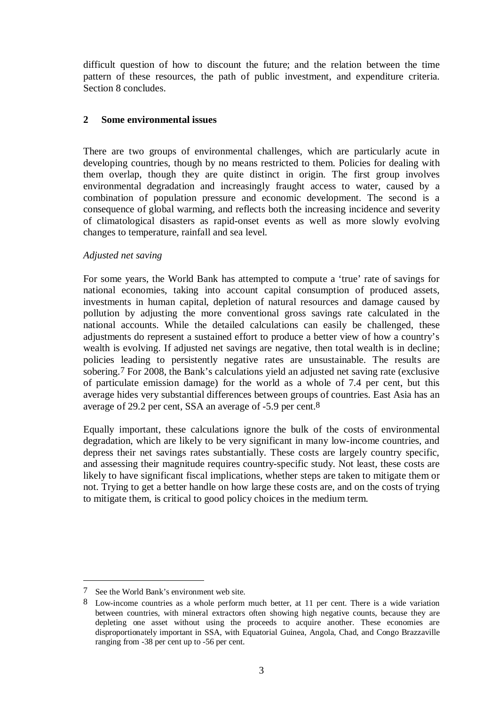difficult question of how to discount the future; and the relation between the time pattern of these resources, the path of public investment, and expenditure criteria. Section 8 concludes.

## **2 Some environmental issues**

There are two groups of environmental challenges, which are particularly acute in developing countries, though by no means restricted to them. Policies for dealing with them overlap, though they are quite distinct in origin. The first group involves environmental degradation and increasingly fraught access to water, caused by a combination of population pressure and economic development. The second is a consequence of global warming, and reflects both the increasing incidence and severity of climatological disasters as rapid-onset events as well as more slowly evolving changes to temperature, rainfall and sea level.

## *Adjusted net saving*

For some years, the World Bank has attempted to compute a 'true' rate of savings for national economies, taking into account capital consumption of produced assets, investments in human capital, depletion of natural resources and damage caused by pollution by adjusting the more conventional gross savings rate calculated in the national accounts. While the detailed calculations can easily be challenged, these adjustments do represent a sustained effort to produce a better view of how a country's wealth is evolving. If adjusted net savings are negative, then total wealth is in decline; policies leading to persistently negative rates are unsustainable. The results are sobering.7 For 2008, the Bank's calculations yield an adjusted net saving rate (exclusive of particulate emission damage) for the world as a whole of 7.4 per cent, but this average hides very substantial differences between groups of countries. East Asia has an average of 29.2 per cent, SSA an average of -5.9 per cent.8

Equally important, these calculations ignore the bulk of the costs of environmental degradation, which are likely to be very significant in many low-income countries, and depress their net savings rates substantially. These costs are largely country specific, and assessing their magnitude requires country-specific study. Not least, these costs are likely to have significant fiscal implications, whether steps are taken to mitigate them or not. Trying to get a better handle on how large these costs are, and on the costs of trying to mitigate them, is critical to good policy choices in the medium term.

1

<sup>7</sup> See the World Bank's environment web site.

<sup>8</sup> Low-income countries as a whole perform much better, at 11 per cent. There is a wide variation between countries, with mineral extractors often showing high negative counts, because they are depleting one asset without using the proceeds to acquire another. These economies are disproportionately important in SSA, with Equatorial Guinea, Angola, Chad, and Congo Brazzaville ranging from -38 per cent up to -56 per cent.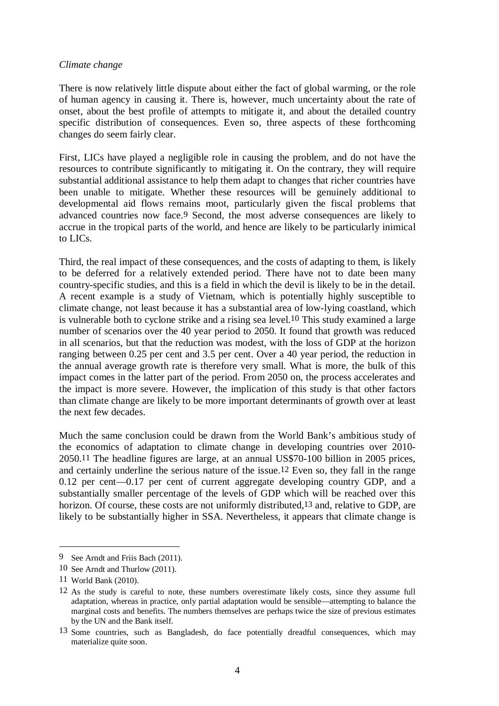#### *Climate change*

There is now relatively little dispute about either the fact of global warming, or the role of human agency in causing it. There is, however, much uncertainty about the rate of onset, about the best profile of attempts to mitigate it, and about the detailed country specific distribution of consequences. Even so, three aspects of these forthcoming changes do seem fairly clear.

First, LICs have played a negligible role in causing the problem, and do not have the resources to contribute significantly to mitigating it. On the contrary, they will require substantial additional assistance to help them adapt to changes that richer countries have been unable to mitigate. Whether these resources will be genuinely additional to developmental aid flows remains moot, particularly given the fiscal problems that advanced countries now face.9 Second, the most adverse consequences are likely to accrue in the tropical parts of the world, and hence are likely to be particularly inimical to LICs.

Third, the real impact of these consequences, and the costs of adapting to them, is likely to be deferred for a relatively extended period. There have not to date been many country-specific studies, and this is a field in which the devil is likely to be in the detail. A recent example is a study of Vietnam, which is potentially highly susceptible to climate change, not least because it has a substantial area of low-lying coastland, which is vulnerable both to cyclone strike and a rising sea level.10 This study examined a large number of scenarios over the 40 year period to 2050. It found that growth was reduced in all scenarios, but that the reduction was modest, with the loss of GDP at the horizon ranging between 0.25 per cent and 3.5 per cent. Over a 40 year period, the reduction in the annual average growth rate is therefore very small. What is more, the bulk of this impact comes in the latter part of the period. From 2050 on, the process accelerates and the impact is more severe. However, the implication of this study is that other factors than climate change are likely to be more important determinants of growth over at least the next few decades.

Much the same conclusion could be drawn from the World Bank's ambitious study of the economics of adaptation to climate change in developing countries over 2010- 2050.11 The headline figures are large, at an annual US\$70-100 billion in 2005 prices, and certainly underline the serious nature of the issue.12 Even so, they fall in the range 0.12 per cent—0.17 per cent of current aggregate developing country GDP, and a substantially smaller percentage of the levels of GDP which will be reached over this horizon. Of course, these costs are not uniformly distributed,<sup>13</sup> and, relative to GDP, are likely to be substantially higher in SSA. Nevertheless, it appears that climate change is

<sup>9</sup> See Arndt and Friis Bach (2011).

<sup>10</sup> See Arndt and Thurlow (2011).

<sup>11</sup> World Bank (2010).

<sup>12</sup> As the study is careful to note, these numbers overestimate likely costs, since they assume full adaptation, whereas in practice, only partial adaptation would be sensible—attempting to balance the marginal costs and benefits. The numbers themselves are perhaps twice the size of previous estimates by the UN and the Bank itself.

<sup>13</sup> Some countries, such as Bangladesh, do face potentially dreadful consequences, which may materialize quite soon.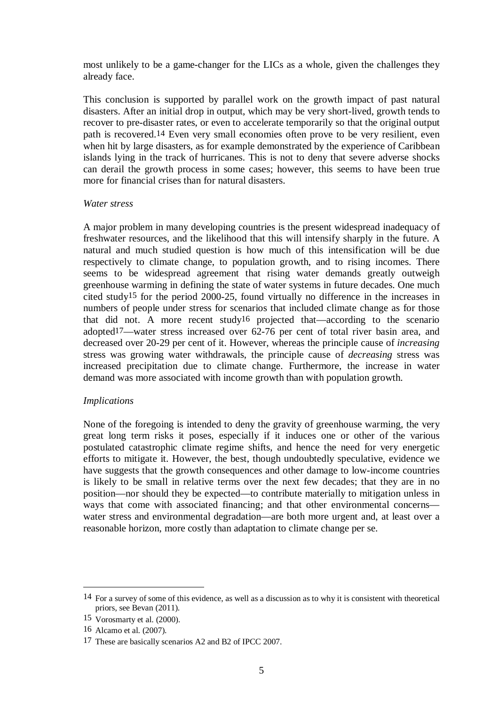most unlikely to be a game-changer for the LICs as a whole, given the challenges they already face.

This conclusion is supported by parallel work on the growth impact of past natural disasters. After an initial drop in output, which may be very short-lived, growth tends to recover to pre-disaster rates, or even to accelerate temporarily so that the original output path is recovered.14 Even very small economies often prove to be very resilient, even when hit by large disasters, as for example demonstrated by the experience of Caribbean islands lying in the track of hurricanes. This is not to deny that severe adverse shocks can derail the growth process in some cases; however, this seems to have been true more for financial crises than for natural disasters.

#### *Water stress*

A major problem in many developing countries is the present widespread inadequacy of freshwater resources, and the likelihood that this will intensify sharply in the future. A natural and much studied question is how much of this intensification will be due respectively to climate change, to population growth, and to rising incomes. There seems to be widespread agreement that rising water demands greatly outweigh greenhouse warming in defining the state of water systems in future decades. One much cited study15 for the period 2000-25, found virtually no difference in the increases in numbers of people under stress for scenarios that included climate change as for those that did not. A more recent study16 projected that—according to the scenario adopted17—water stress increased over 62-76 per cent of total river basin area, and decreased over 20-29 per cent of it. However, whereas the principle cause of *increasing* stress was growing water withdrawals, the principle cause of *decreasing* stress was increased precipitation due to climate change. Furthermore, the increase in water demand was more associated with income growth than with population growth.

### *Implications*

None of the foregoing is intended to deny the gravity of greenhouse warming, the very great long term risks it poses, especially if it induces one or other of the various postulated catastrophic climate regime shifts, and hence the need for very energetic efforts to mitigate it. However, the best, though undoubtedly speculative, evidence we have suggests that the growth consequences and other damage to low-income countries is likely to be small in relative terms over the next few decades; that they are in no position—nor should they be expected—to contribute materially to mitigation unless in ways that come with associated financing; and that other environmental concerns water stress and environmental degradation—are both more urgent and, at least over a reasonable horizon, more costly than adaptation to climate change per se.

<u>.</u>

<sup>14</sup> For a survey of some of this evidence, as well as a discussion as to why it is consistent with theoretical priors, see Bevan (2011).

<sup>15</sup> Vorosmarty et al. (2000).

<sup>16</sup> Alcamo et al. (2007).

<sup>17</sup> These are basically scenarios A2 and B2 of IPCC 2007.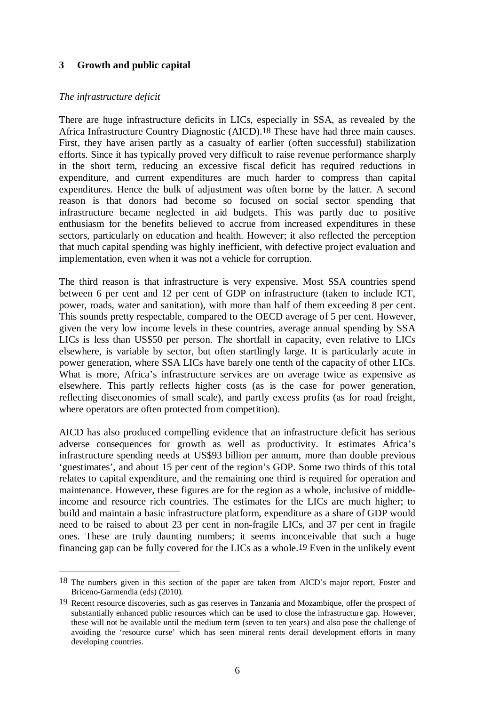## **3 Growth and public capital**

### *The infrastructure deficit*

 $\overline{a}$ 

There are huge infrastructure deficits in LICs, especially in SSA, as revealed by the Africa Infrastructure Country Diagnostic (AICD).18 These have had three main causes. First, they have arisen partly as a casualty of earlier (often successful) stabilization efforts. Since it has typically proved very difficult to raise revenue performance sharply in the short term, reducing an excessive fiscal deficit has required reductions in expenditure, and current expenditures are much harder to compress than capital expenditures. Hence the bulk of adjustment was often borne by the latter. A second reason is that donors had become so focused on social sector spending that infrastructure became neglected in aid budgets. This was partly due to positive enthusiasm for the benefits believed to accrue from increased expenditures in these sectors, particularly on education and health. However; it also reflected the perception that much capital spending was highly inefficient, with defective project evaluation and implementation, even when it was not a vehicle for corruption.

The third reason is that infrastructure is very expensive. Most SSA countries spend between 6 per cent and 12 per cent of GDP on infrastructure (taken to include ICT, power, roads, water and sanitation), with more than half of them exceeding 8 per cent. This sounds pretty respectable, compared to the OECD average of 5 per cent. However, given the very low income levels in these countries, average annual spending by SSA LICs is less than US\$50 per person. The shortfall in capacity, even relative to LICs elsewhere, is variable by sector, but often startlingly large. It is particularly acute in power generation, where SSA LICs have barely one tenth of the capacity of other LICs. What is more, Africa's infrastructure services are on average twice as expensive as elsewhere. This partly reflects higher costs (as is the case for power generation, reflecting diseconomies of small scale), and partly excess profits (as for road freight, where operators are often protected from competition).

AICD has also produced compelling evidence that an infrastructure deficit has serious adverse consequences for growth as well as productivity. It estimates Africa's infrastructure spending needs at US\$93 billion per annum, more than double previous 'guestimates', and about 15 per cent of the region's GDP. Some two thirds of this total relates to capital expenditure, and the remaining one third is required for operation and maintenance. However, these figures are for the region as a whole, inclusive of middleincome and resource rich countries. The estimates for the LICs are much higher; to build and maintain a basic infrastructure platform, expenditure as a share of GDP would need to be raised to about 23 per cent in non-fragile LICs, and 37 per cent in fragile ones. These are truly daunting numbers; it seems inconceivable that such a huge financing gap can be fully covered for the LICs as a whole.19 Even in the unlikely event

<sup>18</sup> The numbers given in this section of the paper are taken from AICD's major report, Foster and Briceno-Garmendia (eds) (2010).

<sup>19</sup> Recent resource discoveries, such as gas reserves in Tanzania and Mozambique, offer the prospect of substantially enhanced public resources which can be used to close the infrastructure gap. However, these will not be available until the medium term (seven to ten years) and also pose the challenge of avoiding the 'resource curse' which has seen mineral rents derail development efforts in many developing countries.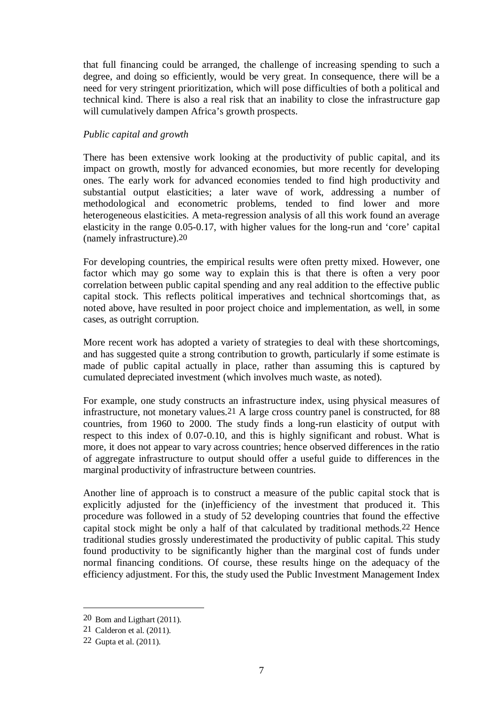that full financing could be arranged, the challenge of increasing spending to such a degree, and doing so efficiently, would be very great. In consequence, there will be a need for very stringent prioritization, which will pose difficulties of both a political and technical kind. There is also a real risk that an inability to close the infrastructure gap will cumulatively dampen Africa's growth prospects.

## *Public capital and growth*

There has been extensive work looking at the productivity of public capital, and its impact on growth, mostly for advanced economies, but more recently for developing ones. The early work for advanced economies tended to find high productivity and substantial output elasticities; a later wave of work, addressing a number of methodological and econometric problems, tended to find lower and more heterogeneous elasticities. A meta-regression analysis of all this work found an average elasticity in the range 0.05-0.17, with higher values for the long-run and 'core' capital (namely infrastructure).20

For developing countries, the empirical results were often pretty mixed. However, one factor which may go some way to explain this is that there is often a very poor correlation between public capital spending and any real addition to the effective public capital stock. This reflects political imperatives and technical shortcomings that, as noted above, have resulted in poor project choice and implementation, as well, in some cases, as outright corruption.

More recent work has adopted a variety of strategies to deal with these shortcomings, and has suggested quite a strong contribution to growth, particularly if some estimate is made of public capital actually in place, rather than assuming this is captured by cumulated depreciated investment (which involves much waste, as noted).

For example, one study constructs an infrastructure index, using physical measures of infrastructure, not monetary values.21 A large cross country panel is constructed, for 88 countries, from 1960 to 2000. The study finds a long-run elasticity of output with respect to this index of 0.07-0.10, and this is highly significant and robust. What is more, it does not appear to vary across countries; hence observed differences in the ratio of aggregate infrastructure to output should offer a useful guide to differences in the marginal productivity of infrastructure between countries.

Another line of approach is to construct a measure of the public capital stock that is explicitly adjusted for the (in)efficiency of the investment that produced it. This procedure was followed in a study of 52 developing countries that found the effective capital stock might be only a half of that calculated by traditional methods.22 Hence traditional studies grossly underestimated the productivity of public capital. This study found productivity to be significantly higher than the marginal cost of funds under normal financing conditions. Of course, these results hinge on the adequacy of the efficiency adjustment. For this, the study used the Public Investment Management Index

1

<sup>20</sup> Bom and Ligthart (2011).

<sup>21</sup> Calderon et al. (2011).

<sup>22</sup> Gupta et al. (2011).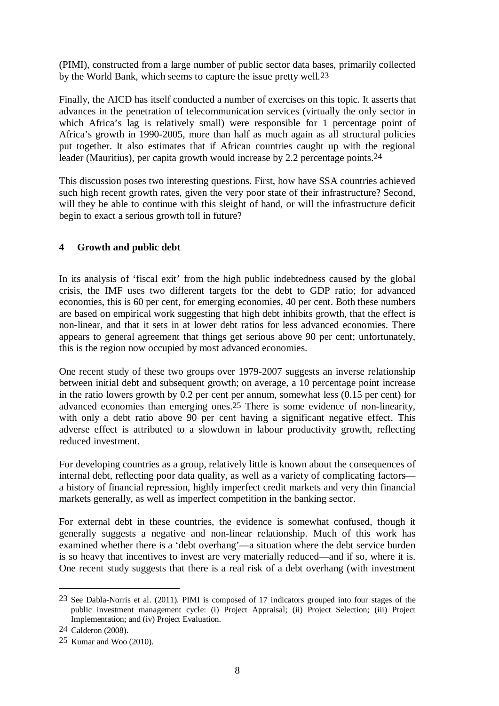(PIMI), constructed from a large number of public sector data bases, primarily collected by the World Bank, which seems to capture the issue pretty well.23

Finally, the AICD has itself conducted a number of exercises on this topic. It asserts that advances in the penetration of telecommunication services (virtually the only sector in which Africa's lag is relatively small) were responsible for 1 percentage point of Africa's growth in 1990-2005, more than half as much again as all structural policies put together. It also estimates that if African countries caught up with the regional leader (Mauritius), per capita growth would increase by 2.2 percentage points.24

This discussion poses two interesting questions. First, how have SSA countries achieved such high recent growth rates, given the very poor state of their infrastructure? Second, will they be able to continue with this sleight of hand, or will the infrastructure deficit begin to exact a serious growth toll in future?

## **4 Growth and public debt**

In its analysis of 'fiscal exit' from the high public indebtedness caused by the global crisis, the IMF uses two different targets for the debt to GDP ratio; for advanced economies, this is 60 per cent, for emerging economies, 40 per cent. Both these numbers are based on empirical work suggesting that high debt inhibits growth, that the effect is non-linear, and that it sets in at lower debt ratios for less advanced economies. There appears to general agreement that things get serious above 90 per cent; unfortunately, this is the region now occupied by most advanced economies.

One recent study of these two groups over 1979-2007 suggests an inverse relationship between initial debt and subsequent growth; on average, a 10 percentage point increase in the ratio lowers growth by 0.2 per cent per annum, somewhat less (0.15 per cent) for advanced economies than emerging ones.25 There is some evidence of non-linearity, with only a debt ratio above 90 per cent having a significant negative effect. This adverse effect is attributed to a slowdown in labour productivity growth, reflecting reduced investment.

For developing countries as a group, relatively little is known about the consequences of internal debt, reflecting poor data quality, as well as a variety of complicating factors a history of financial repression, highly imperfect credit markets and very thin financial markets generally, as well as imperfect competition in the banking sector.

For external debt in these countries, the evidence is somewhat confused, though it generally suggests a negative and non-linear relationship. Much of this work has examined whether there is a 'debt overhang'—a situation where the debt service burden is so heavy that incentives to invest are very materially reduced—and if so, where it is. One recent study suggests that there is a real risk of a debt overhang (with investment

<sup>23</sup> See Dabla-Norris et al. (2011). PIMI is composed of 17 indicators grouped into four stages of the public investment management cycle: (i) Project Appraisal; (ii) Project Selection; (iii) Project Implementation; and (iv) Project Evaluation.

<sup>24</sup> Calderon (2008).

<sup>25</sup> Kumar and Woo (2010).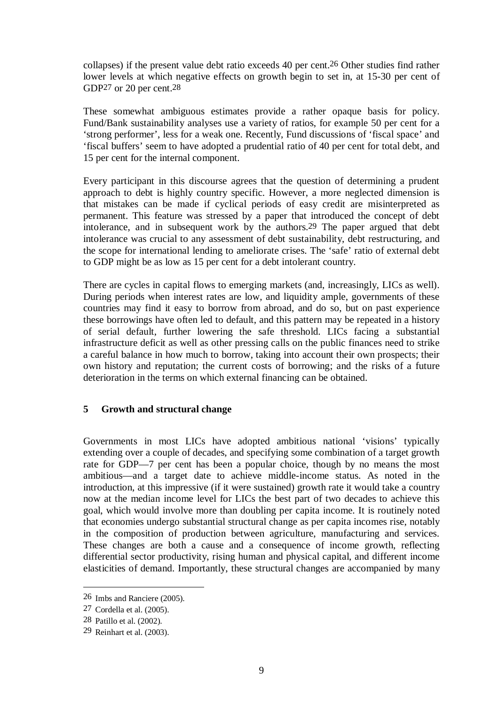collapses) if the present value debt ratio exceeds 40 per cent.26 Other studies find rather lower levels at which negative effects on growth begin to set in, at 15-30 per cent of GDP27 or 20 per cent.28

These somewhat ambiguous estimates provide a rather opaque basis for policy. Fund/Bank sustainability analyses use a variety of ratios, for example 50 per cent for a 'strong performer', less for a weak one. Recently, Fund discussions of 'fiscal space' and 'fiscal buffers' seem to have adopted a prudential ratio of 40 per cent for total debt, and 15 per cent for the internal component.

Every participant in this discourse agrees that the question of determining a prudent approach to debt is highly country specific. However, a more neglected dimension is that mistakes can be made if cyclical periods of easy credit are misinterpreted as permanent. This feature was stressed by a paper that introduced the concept of debt intolerance, and in subsequent work by the authors.29 The paper argued that debt intolerance was crucial to any assessment of debt sustainability, debt restructuring, and the scope for international lending to ameliorate crises. The 'safe' ratio of external debt to GDP might be as low as 15 per cent for a debt intolerant country.

There are cycles in capital flows to emerging markets (and, increasingly, LICs as well). During periods when interest rates are low, and liquidity ample, governments of these countries may find it easy to borrow from abroad, and do so, but on past experience these borrowings have often led to default, and this pattern may be repeated in a history of serial default, further lowering the safe threshold. LICs facing a substantial infrastructure deficit as well as other pressing calls on the public finances need to strike a careful balance in how much to borrow, taking into account their own prospects; their own history and reputation; the current costs of borrowing; and the risks of a future deterioration in the terms on which external financing can be obtained.

## **5 Growth and structural change**

Governments in most LICs have adopted ambitious national 'visions' typically extending over a couple of decades, and specifying some combination of a target growth rate for GDP—7 per cent has been a popular choice, though by no means the most ambitious—and a target date to achieve middle-income status. As noted in the introduction, at this impressive (if it were sustained) growth rate it would take a country now at the median income level for LICs the best part of two decades to achieve this goal, which would involve more than doubling per capita income. It is routinely noted that economies undergo substantial structural change as per capita incomes rise, notably in the composition of production between agriculture, manufacturing and services. These changes are both a cause and a consequence of income growth, reflecting differential sector productivity, rising human and physical capital, and different income elasticities of demand. Importantly, these structural changes are accompanied by many

<u>.</u>

<sup>26</sup> Imbs and Ranciere (2005).

<sup>27</sup> Cordella et al. (2005).

<sup>28</sup> Patillo et al. (2002).

<sup>29</sup> Reinhart et al. (2003).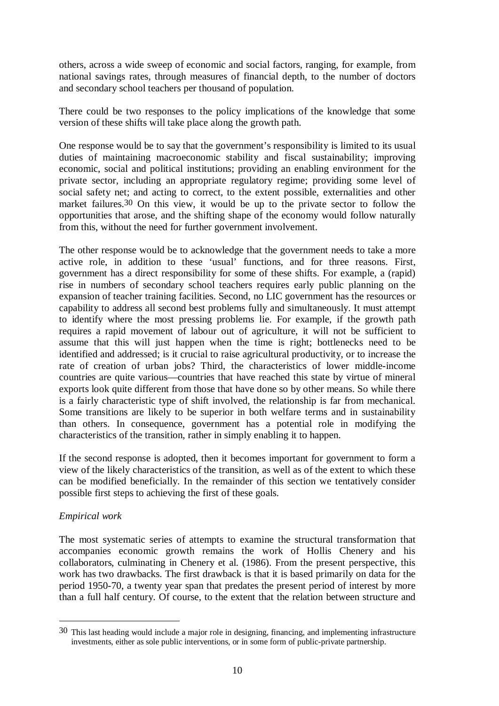others, across a wide sweep of economic and social factors, ranging, for example, from national savings rates, through measures of financial depth, to the number of doctors and secondary school teachers per thousand of population.

There could be two responses to the policy implications of the knowledge that some version of these shifts will take place along the growth path.

One response would be to say that the government's responsibility is limited to its usual duties of maintaining macroeconomic stability and fiscal sustainability; improving economic, social and political institutions; providing an enabling environment for the private sector, including an appropriate regulatory regime; providing some level of social safety net; and acting to correct, to the extent possible, externalities and other market failures.30 On this view, it would be up to the private sector to follow the opportunities that arose, and the shifting shape of the economy would follow naturally from this, without the need for further government involvement.

The other response would be to acknowledge that the government needs to take a more active role, in addition to these 'usual' functions, and for three reasons. First, government has a direct responsibility for some of these shifts. For example, a (rapid) rise in numbers of secondary school teachers requires early public planning on the expansion of teacher training facilities. Second, no LIC government has the resources or capability to address all second best problems fully and simultaneously. It must attempt to identify where the most pressing problems lie. For example, if the growth path requires a rapid movement of labour out of agriculture, it will not be sufficient to assume that this will just happen when the time is right; bottlenecks need to be identified and addressed; is it crucial to raise agricultural productivity, or to increase the rate of creation of urban jobs? Third, the characteristics of lower middle-income countries are quite various—countries that have reached this state by virtue of mineral exports look quite different from those that have done so by other means. So while there is a fairly characteristic type of shift involved, the relationship is far from mechanical. Some transitions are likely to be superior in both welfare terms and in sustainability than others. In consequence, government has a potential role in modifying the characteristics of the transition, rather in simply enabling it to happen.

If the second response is adopted, then it becomes important for government to form a view of the likely characteristics of the transition, as well as of the extent to which these can be modified beneficially. In the remainder of this section we tentatively consider possible first steps to achieving the first of these goals.

### *Empirical work*

 $\overline{a}$ 

The most systematic series of attempts to examine the structural transformation that accompanies economic growth remains the work of Hollis Chenery and his collaborators, culminating in Chenery et al. (1986). From the present perspective, this work has two drawbacks. The first drawback is that it is based primarily on data for the period 1950-70, a twenty year span that predates the present period of interest by more than a full half century. Of course, to the extent that the relation between structure and

<sup>30</sup> This last heading would include a major role in designing, financing, and implementing infrastructure investments, either as sole public interventions, or in some form of public-private partnership.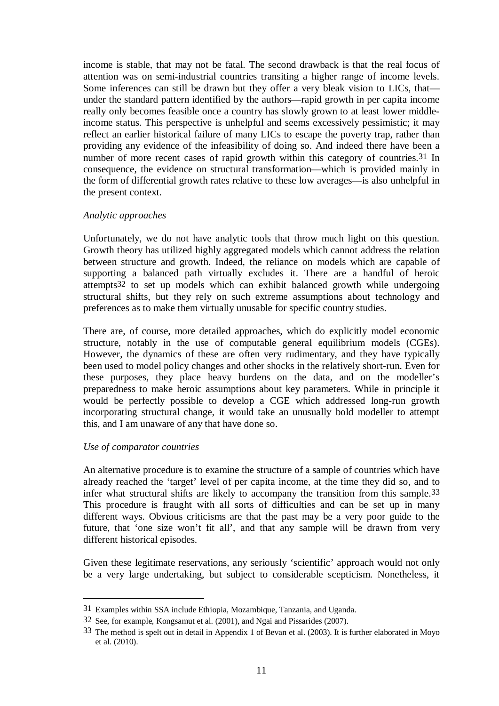income is stable, that may not be fatal. The second drawback is that the real focus of attention was on semi-industrial countries transiting a higher range of income levels. Some inferences can still be drawn but they offer a very bleak vision to LICs, that under the standard pattern identified by the authors—rapid growth in per capita income really only becomes feasible once a country has slowly grown to at least lower middleincome status. This perspective is unhelpful and seems excessively pessimistic; it may reflect an earlier historical failure of many LICs to escape the poverty trap, rather than providing any evidence of the infeasibility of doing so. And indeed there have been a number of more recent cases of rapid growth within this category of countries.31 In consequence, the evidence on structural transformation—which is provided mainly in the form of differential growth rates relative to these low averages—is also unhelpful in the present context.

#### *Analytic approaches*

Unfortunately, we do not have analytic tools that throw much light on this question. Growth theory has utilized highly aggregated models which cannot address the relation between structure and growth. Indeed, the reliance on models which are capable of supporting a balanced path virtually excludes it. There are a handful of heroic attempts32 to set up models which can exhibit balanced growth while undergoing structural shifts, but they rely on such extreme assumptions about technology and preferences as to make them virtually unusable for specific country studies.

There are, of course, more detailed approaches, which do explicitly model economic structure, notably in the use of computable general equilibrium models (CGEs). However, the dynamics of these are often very rudimentary, and they have typically been used to model policy changes and other shocks in the relatively short-run. Even for these purposes, they place heavy burdens on the data, and on the modeller's preparedness to make heroic assumptions about key parameters. While in principle it would be perfectly possible to develop a CGE which addressed long-run growth incorporating structural change, it would take an unusually bold modeller to attempt this, and I am unaware of any that have done so.

### *Use of comparator countries*

<u>.</u>

An alternative procedure is to examine the structure of a sample of countries which have already reached the 'target' level of per capita income, at the time they did so, and to infer what structural shifts are likely to accompany the transition from this sample.33 This procedure is fraught with all sorts of difficulties and can be set up in many different ways. Obvious criticisms are that the past may be a very poor guide to the future, that 'one size won't fit all', and that any sample will be drawn from very different historical episodes.

Given these legitimate reservations, any seriously 'scientific' approach would not only be a very large undertaking, but subject to considerable scepticism. Nonetheless, it

<sup>31</sup> Examples within SSA include Ethiopia, Mozambique, Tanzania, and Uganda.

<sup>32</sup> See, for example, Kongsamut et al. (2001), and Ngai and Pissarides (2007).

<sup>33</sup> The method is spelt out in detail in Appendix 1 of Bevan et al. (2003). It is further elaborated in Moyo et al. (2010).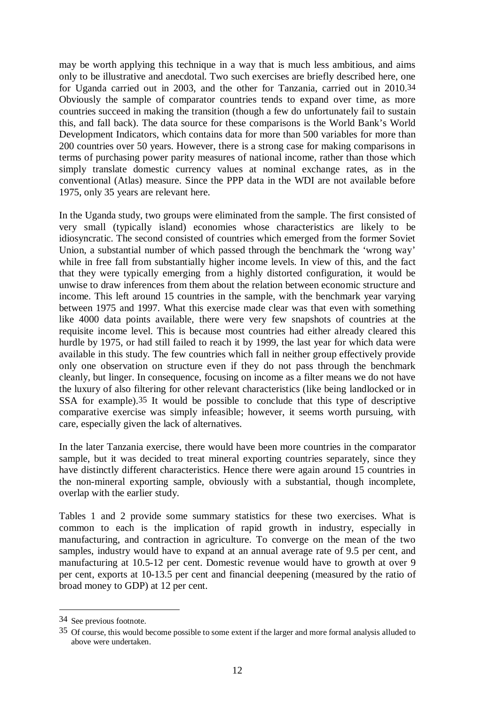may be worth applying this technique in a way that is much less ambitious, and aims only to be illustrative and anecdotal. Two such exercises are briefly described here, one for Uganda carried out in 2003, and the other for Tanzania, carried out in 2010.34 Obviously the sample of comparator countries tends to expand over time, as more countries succeed in making the transition (though a few do unfortunately fail to sustain this, and fall back). The data source for these comparisons is the World Bank's World Development Indicators, which contains data for more than 500 variables for more than 200 countries over 50 years. However, there is a strong case for making comparisons in terms of purchasing power parity measures of national income, rather than those which simply translate domestic currency values at nominal exchange rates, as in the conventional (Atlas) measure. Since the PPP data in the WDI are not available before 1975, only 35 years are relevant here.

In the Uganda study, two groups were eliminated from the sample. The first consisted of very small (typically island) economies whose characteristics are likely to be idiosyncratic. The second consisted of countries which emerged from the former Soviet Union, a substantial number of which passed through the benchmark the 'wrong way' while in free fall from substantially higher income levels. In view of this, and the fact that they were typically emerging from a highly distorted configuration, it would be unwise to draw inferences from them about the relation between economic structure and income. This left around 15 countries in the sample, with the benchmark year varying between 1975 and 1997. What this exercise made clear was that even with something like 4000 data points available, there were very few snapshots of countries at the requisite income level. This is because most countries had either already cleared this hurdle by 1975, or had still failed to reach it by 1999, the last year for which data were available in this study. The few countries which fall in neither group effectively provide only one observation on structure even if they do not pass through the benchmark cleanly, but linger. In consequence, focusing on income as a filter means we do not have the luxury of also filtering for other relevant characteristics (like being landlocked or in SSA for example).35 It would be possible to conclude that this type of descriptive comparative exercise was simply infeasible; however, it seems worth pursuing, with care, especially given the lack of alternatives.

In the later Tanzania exercise, there would have been more countries in the comparator sample, but it was decided to treat mineral exporting countries separately, since they have distinctly different characteristics. Hence there were again around 15 countries in the non-mineral exporting sample, obviously with a substantial, though incomplete, overlap with the earlier study.

Tables 1 and 2 provide some summary statistics for these two exercises. What is common to each is the implication of rapid growth in industry, especially in manufacturing, and contraction in agriculture. To converge on the mean of the two samples, industry would have to expand at an annual average rate of 9.5 per cent, and manufacturing at 10.5-12 per cent. Domestic revenue would have to growth at over 9 per cent, exports at 10-13.5 per cent and financial deepening (measured by the ratio of broad money to GDP) at 12 per cent.

<sup>34</sup> See previous footnote.

<sup>35</sup> Of course, this would become possible to some extent if the larger and more formal analysis alluded to above were undertaken.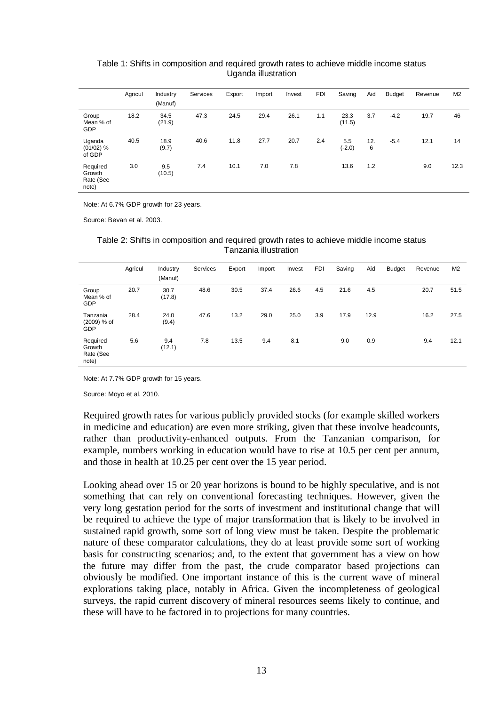|                                          | Agricul | Industry<br>(Manuf) | Services | Export | Import | Invest | <b>FDI</b> | Saving          | Aid      | Budget | Revenue | M <sub>2</sub> |
|------------------------------------------|---------|---------------------|----------|--------|--------|--------|------------|-----------------|----------|--------|---------|----------------|
| Group<br>Mean % of<br><b>GDP</b>         | 18.2    | 34.5<br>(21.9)      | 47.3     | 24.5   | 29.4   | 26.1   | 1.1        | 23.3<br>(11.5)  | 3.7      | $-4.2$ | 19.7    | 46             |
| Uganda<br>$(01/02)$ %<br>of GDP          | 40.5    | 18.9<br>(9.7)       | 40.6     | 11.8   | 27.7   | 20.7   | 2.4        | 5.5<br>$(-2.0)$ | 12.<br>6 | $-5.4$ | 12.1    | 14             |
| Required<br>Growth<br>Rate (See<br>note) | 3.0     | 9.5<br>(10.5)       | 7.4      | 10.1   | 7.0    | 7.8    |            | 13.6            | 1.2      |        | 9.0     | 12.3           |

#### Table 1: Shifts in composition and required growth rates to achieve middle income status Uganda illustration

Note: At 6.7% GDP growth for 23 years.

Source: Bevan et al. 2003.

|                                          | Agricul | Industry<br>(Manuf) | Services | Export | Import | Invest | <b>FDI</b> | Saving | Aid  | Budget | Revenue | M2   |
|------------------------------------------|---------|---------------------|----------|--------|--------|--------|------------|--------|------|--------|---------|------|
| Group<br>Mean % of<br>GDP                | 20.7    | 30.7<br>(17.8)      | 48.6     | 30.5   | 37.4   | 26.6   | 4.5        | 21.6   | 4.5  |        | 20.7    | 51.5 |
| Tanzania<br>(2009) % of<br>GDP           | 28.4    | 24.0<br>(9.4)       | 47.6     | 13.2   | 29.0   | 25.0   | 3.9        | 17.9   | 12.9 |        | 16.2    | 27.5 |
| Required<br>Growth<br>Rate (See<br>note) | 5.6     | 9.4<br>(12.1)       | 7.8      | 13.5   | 9.4    | 8.1    |            | 9.0    | 0.9  |        | 9.4     | 12.1 |

Table 2: Shifts in composition and required growth rates to achieve middle income status Tanzania illustration

Note: At 7.7% GDP growth for 15 years.

Source: Moyo et al. 2010.

Required growth rates for various publicly provided stocks (for example skilled workers in medicine and education) are even more striking, given that these involve headcounts, rather than productivity-enhanced outputs. From the Tanzanian comparison, for example, numbers working in education would have to rise at 10.5 per cent per annum, and those in health at 10.25 per cent over the 15 year period.

Looking ahead over 15 or 20 year horizons is bound to be highly speculative, and is not something that can rely on conventional forecasting techniques. However, given the very long gestation period for the sorts of investment and institutional change that will be required to achieve the type of major transformation that is likely to be involved in sustained rapid growth, some sort of long view must be taken. Despite the problematic nature of these comparator calculations, they do at least provide some sort of working basis for constructing scenarios; and, to the extent that government has a view on how the future may differ from the past, the crude comparator based projections can obviously be modified. One important instance of this is the current wave of mineral explorations taking place, notably in Africa. Given the incompleteness of geological surveys, the rapid current discovery of mineral resources seems likely to continue, and these will have to be factored in to projections for many countries.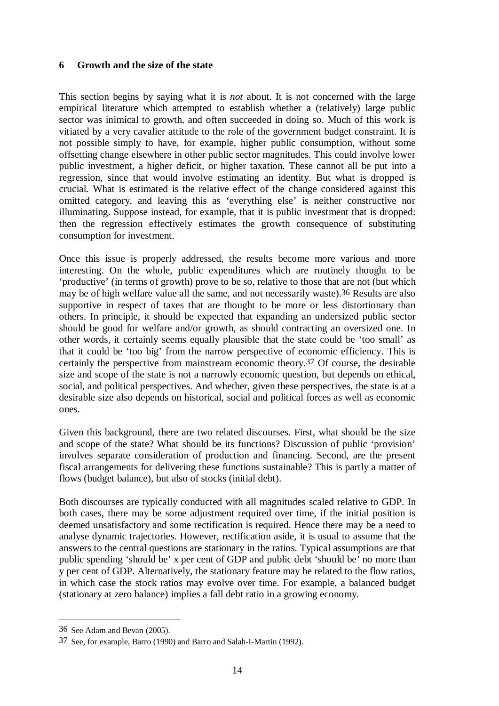## **6 Growth and the size of the state**

This section begins by saying what it is *not* about. It is not concerned with the large empirical literature which attempted to establish whether a (relatively) large public sector was inimical to growth, and often succeeded in doing so. Much of this work is vitiated by a very cavalier attitude to the role of the government budget constraint. It is not possible simply to have, for example, higher public consumption, without some offsetting change elsewhere in other public sector magnitudes. This could involve lower public investment, a higher deficit, or higher taxation. These cannot all be put into a regression, since that would involve estimating an identity. But what is dropped is crucial. What is estimated is the relative effect of the change considered against this omitted category, and leaving this as 'everything else' is neither constructive nor illuminating. Suppose instead, for example, that it is public investment that is dropped: then the regression effectively estimates the growth consequence of substituting consumption for investment.

Once this issue is properly addressed, the results become more various and more interesting. On the whole, public expenditures which are routinely thought to be 'productive' (in terms of growth) prove to be so, relative to those that are not (but which may be of high welfare value all the same, and not necessarily waste).36 Results are also supportive in respect of taxes that are thought to be more or less distortionary than others. In principle, it should be expected that expanding an undersized public sector should be good for welfare and/or growth, as should contracting an oversized one. In other words, it certainly seems equally plausible that the state could be 'too small' as that it could be 'too big' from the narrow perspective of economic efficiency. This is certainly the perspective from mainstream economic theory.37 Of course, the desirable size and scope of the state is not a narrowly economic question, but depends on ethical, social, and political perspectives. And whether, given these perspectives, the state is at a desirable size also depends on historical, social and political forces as well as economic ones.

Given this background, there are two related discourses. First, what should be the size and scope of the state? What should be its functions? Discussion of public 'provision' involves separate consideration of production and financing. Second, are the present fiscal arrangements for delivering these functions sustainable? This is partly a matter of flows (budget balance), but also of stocks (initial debt).

Both discourses are typically conducted with all magnitudes scaled relative to GDP. In both cases, there may be some adjustment required over time, if the initial position is deemed unsatisfactory and some rectification is required. Hence there may be a need to analyse dynamic trajectories. However, rectification aside, it is usual to assume that the answers to the central questions are stationary in the ratios. Typical assumptions are that public spending 'should be' x per cent of GDP and public debt 'should be' no more than y per cent of GDP. Alternatively, the stationary feature may be related to the flow ratios, in which case the stock ratios may evolve over time. For example, a balanced budget (stationary at zero balance) implies a fall debt ratio in a growing economy.

<sup>36</sup> See Adam and Bevan (2005).

<sup>37</sup> See, for example, Barro (1990) and Barro and Salah-I-Martin (1992).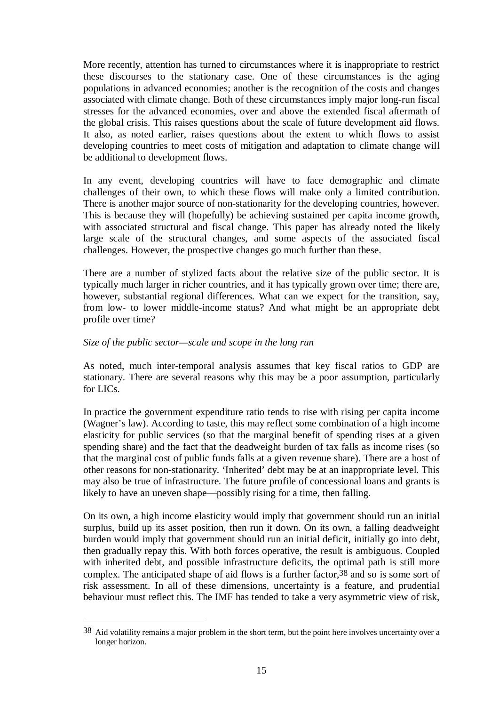More recently, attention has turned to circumstances where it is inappropriate to restrict these discourses to the stationary case. One of these circumstances is the aging populations in advanced economies; another is the recognition of the costs and changes associated with climate change. Both of these circumstances imply major long-run fiscal stresses for the advanced economies, over and above the extended fiscal aftermath of the global crisis. This raises questions about the scale of future development aid flows. It also, as noted earlier, raises questions about the extent to which flows to assist developing countries to meet costs of mitigation and adaptation to climate change will be additional to development flows.

In any event, developing countries will have to face demographic and climate challenges of their own, to which these flows will make only a limited contribution. There is another major source of non-stationarity for the developing countries, however. This is because they will (hopefully) be achieving sustained per capita income growth, with associated structural and fiscal change. This paper has already noted the likely large scale of the structural changes, and some aspects of the associated fiscal challenges. However, the prospective changes go much further than these.

There are a number of stylized facts about the relative size of the public sector. It is typically much larger in richer countries, and it has typically grown over time; there are, however, substantial regional differences. What can we expect for the transition, say, from low- to lower middle-income status? And what might be an appropriate debt profile over time?

#### *Size of the public sector—scale and scope in the long run*

1

As noted, much inter-temporal analysis assumes that key fiscal ratios to GDP are stationary. There are several reasons why this may be a poor assumption, particularly for LICs.

In practice the government expenditure ratio tends to rise with rising per capita income (Wagner's law). According to taste, this may reflect some combination of a high income elasticity for public services (so that the marginal benefit of spending rises at a given spending share) and the fact that the deadweight burden of tax falls as income rises (so that the marginal cost of public funds falls at a given revenue share). There are a host of other reasons for non-stationarity. 'Inherited' debt may be at an inappropriate level. This may also be true of infrastructure. The future profile of concessional loans and grants is likely to have an uneven shape—possibly rising for a time, then falling.

On its own, a high income elasticity would imply that government should run an initial surplus, build up its asset position, then run it down. On its own, a falling deadweight burden would imply that government should run an initial deficit, initially go into debt, then gradually repay this. With both forces operative, the result is ambiguous. Coupled with inherited debt, and possible infrastructure deficits, the optimal path is still more complex. The anticipated shape of aid flows is a further factor,  $38$  and so is some sort of risk assessment. In all of these dimensions, uncertainty is a feature, and prudential behaviour must reflect this. The IMF has tended to take a very asymmetric view of risk,

<sup>38</sup> Aid volatility remains a major problem in the short term, but the point here involves uncertainty over a longer horizon.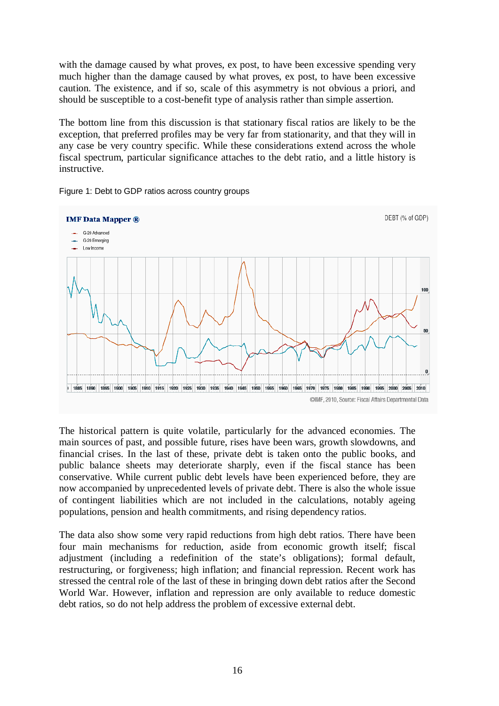with the damage caused by what proves, ex post, to have been excessive spending very much higher than the damage caused by what proves, ex post, to have been excessive caution. The existence, and if so, scale of this asymmetry is not obvious a priori, and should be susceptible to a cost-benefit type of analysis rather than simple assertion.

The bottom line from this discussion is that stationary fiscal ratios are likely to be the exception, that preferred profiles may be very far from stationarity, and that they will in any case be very country specific. While these considerations extend across the whole fiscal spectrum, particular significance attaches to the debt ratio, and a little history is instructive.



Figure 1: Debt to GDP ratios across country groups

The historical pattern is quite volatile, particularly for the advanced economies. The main sources of past, and possible future, rises have been wars, growth slowdowns, and financial crises. In the last of these, private debt is taken onto the public books, and public balance sheets may deteriorate sharply, even if the fiscal stance has been conservative. While current public debt levels have been experienced before, they are now accompanied by unprecedented levels of private debt. There is also the whole issue of contingent liabilities which are not included in the calculations, notably ageing populations, pension and health commitments, and rising dependency ratios.

The data also show some very rapid reductions from high debt ratios. There have been four main mechanisms for reduction, aside from economic growth itself; fiscal adjustment (including a redefinition of the state's obligations); formal default, restructuring, or forgiveness; high inflation; and financial repression. Recent work has stressed the central role of the last of these in bringing down debt ratios after the Second World War. However, inflation and repression are only available to reduce domestic debt ratios, so do not help address the problem of excessive external debt.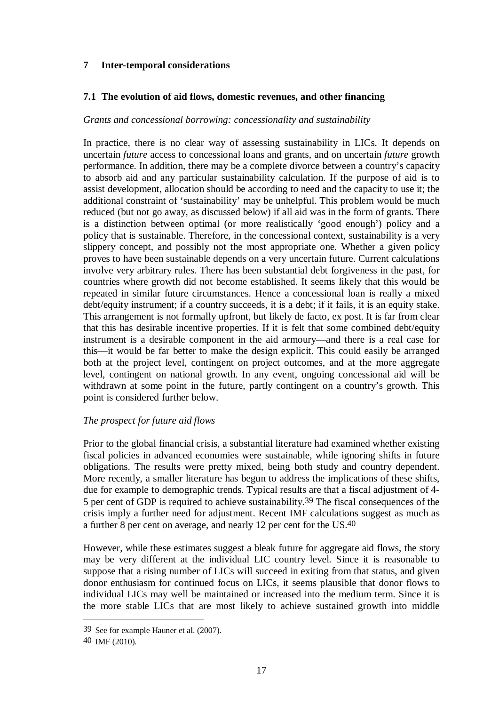## **7 Inter-temporal considerations**

## **7.1 The evolution of aid flows, domestic revenues, and other financing**

#### *Grants and concessional borrowing: concessionality and sustainability*

In practice, there is no clear way of assessing sustainability in LICs. It depends on uncertain *future* access to concessional loans and grants, and on uncertain *future* growth performance. In addition, there may be a complete divorce between a country's capacity to absorb aid and any particular sustainability calculation. If the purpose of aid is to assist development, allocation should be according to need and the capacity to use it; the additional constraint of 'sustainability' may be unhelpful. This problem would be much reduced (but not go away, as discussed below) if all aid was in the form of grants. There is a distinction between optimal (or more realistically 'good enough') policy and a policy that is sustainable. Therefore, in the concessional context, sustainability is a very slippery concept, and possibly not the most appropriate one. Whether a given policy proves to have been sustainable depends on a very uncertain future. Current calculations involve very arbitrary rules. There has been substantial debt forgiveness in the past, for countries where growth did not become established. It seems likely that this would be repeated in similar future circumstances. Hence a concessional loan is really a mixed debt/equity instrument; if a country succeeds, it is a debt; if it fails, it is an equity stake. This arrangement is not formally upfront, but likely de facto, ex post. It is far from clear that this has desirable incentive properties. If it is felt that some combined debt/equity instrument is a desirable component in the aid armoury—and there is a real case for this—it would be far better to make the design explicit. This could easily be arranged both at the project level, contingent on project outcomes, and at the more aggregate level, contingent on national growth. In any event, ongoing concessional aid will be withdrawn at some point in the future, partly contingent on a country's growth. This point is considered further below.

### *The prospect for future aid flows*

Prior to the global financial crisis, a substantial literature had examined whether existing fiscal policies in advanced economies were sustainable, while ignoring shifts in future obligations. The results were pretty mixed, being both study and country dependent. More recently, a smaller literature has begun to address the implications of these shifts, due for example to demographic trends. Typical results are that a fiscal adjustment of 4- 5 per cent of GDP is required to achieve sustainability.39 The fiscal consequences of the crisis imply a further need for adjustment. Recent IMF calculations suggest as much as a further 8 per cent on average, and nearly 12 per cent for the US.40

However, while these estimates suggest a bleak future for aggregate aid flows, the story may be very different at the individual LIC country level. Since it is reasonable to suppose that a rising number of LICs will succeed in exiting from that status, and given donor enthusiasm for continued focus on LICs, it seems plausible that donor flows to individual LICs may well be maintained or increased into the medium term. Since it is the more stable LICs that are most likely to achieve sustained growth into middle

1

<sup>39</sup> See for example Hauner et al. (2007).

<sup>40</sup> IMF (2010).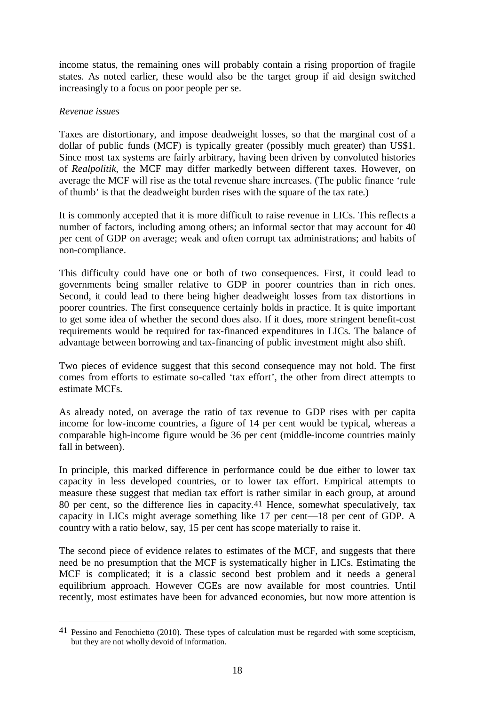income status, the remaining ones will probably contain a rising proportion of fragile states. As noted earlier, these would also be the target group if aid design switched increasingly to a focus on poor people per se.

### *Revenue issues*

 $\overline{a}$ 

Taxes are distortionary, and impose deadweight losses, so that the marginal cost of a dollar of public funds (MCF) is typically greater (possibly much greater) than US\$1. Since most tax systems are fairly arbitrary, having been driven by convoluted histories of *Realpolitik*, the MCF may differ markedly between different taxes. However, on average the MCF will rise as the total revenue share increases. (The public finance 'rule of thumb' is that the deadweight burden rises with the square of the tax rate.)

It is commonly accepted that it is more difficult to raise revenue in LICs. This reflects a number of factors, including among others; an informal sector that may account for 40 per cent of GDP on average; weak and often corrupt tax administrations; and habits of non-compliance.

This difficulty could have one or both of two consequences. First, it could lead to governments being smaller relative to GDP in poorer countries than in rich ones. Second, it could lead to there being higher deadweight losses from tax distortions in poorer countries. The first consequence certainly holds in practice. It is quite important to get some idea of whether the second does also. If it does, more stringent benefit-cost requirements would be required for tax-financed expenditures in LICs. The balance of advantage between borrowing and tax-financing of public investment might also shift.

Two pieces of evidence suggest that this second consequence may not hold. The first comes from efforts to estimate so-called 'tax effort', the other from direct attempts to estimate MCFs.

As already noted, on average the ratio of tax revenue to GDP rises with per capita income for low-income countries, a figure of 14 per cent would be typical, whereas a comparable high-income figure would be 36 per cent (middle-income countries mainly fall in between).

In principle, this marked difference in performance could be due either to lower tax capacity in less developed countries, or to lower tax effort. Empirical attempts to measure these suggest that median tax effort is rather similar in each group, at around 80 per cent, so the difference lies in capacity.41 Hence, somewhat speculatively, tax capacity in LICs might average something like 17 per cent—18 per cent of GDP. A country with a ratio below, say, 15 per cent has scope materially to raise it.

The second piece of evidence relates to estimates of the MCF, and suggests that there need be no presumption that the MCF is systematically higher in LICs. Estimating the MCF is complicated; it is a classic second best problem and it needs a general equilibrium approach. However CGEs are now available for most countries. Until recently, most estimates have been for advanced economies, but now more attention is

<sup>41</sup> Pessino and Fenochietto (2010). These types of calculation must be regarded with some scepticism, but they are not wholly devoid of information.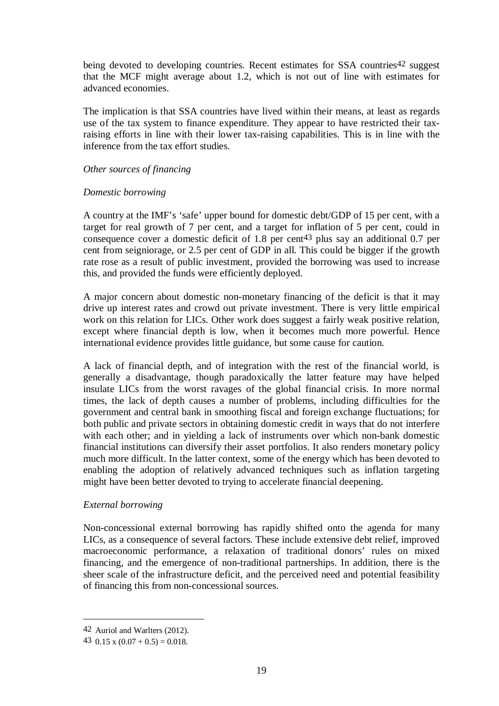being devoted to developing countries. Recent estimates for SSA countries<sup>42</sup> suggest that the MCF might average about 1.2, which is not out of line with estimates for advanced economies.

The implication is that SSA countries have lived within their means, at least as regards use of the tax system to finance expenditure. They appear to have restricted their taxraising efforts in line with their lower tax-raising capabilities. This is in line with the inference from the tax effort studies.

#### *Other sources of financing*

### *Domestic borrowing*

A country at the IMF's 'safe' upper bound for domestic debt/GDP of 15 per cent, with a target for real growth of 7 per cent, and a target for inflation of 5 per cent, could in consequence cover a domestic deficit of 1.8 per cent43 plus say an additional 0.7 per cent from seigniorage, or 2.5 per cent of GDP in all. This could be bigger if the growth rate rose as a result of public investment, provided the borrowing was used to increase this, and provided the funds were efficiently deployed.

A major concern about domestic non-monetary financing of the deficit is that it may drive up interest rates and crowd out private investment. There is very little empirical work on this relation for LICs. Other work does suggest a fairly weak positive relation, except where financial depth is low, when it becomes much more powerful. Hence international evidence provides little guidance, but some cause for caution.

A lack of financial depth, and of integration with the rest of the financial world, is generally a disadvantage, though paradoxically the latter feature may have helped insulate LICs from the worst ravages of the global financial crisis. In more normal times, the lack of depth causes a number of problems, including difficulties for the government and central bank in smoothing fiscal and foreign exchange fluctuations; for both public and private sectors in obtaining domestic credit in ways that do not interfere with each other; and in yielding a lack of instruments over which non-bank domestic financial institutions can diversify their asset portfolios. It also renders monetary policy much more difficult. In the latter context, some of the energy which has been devoted to enabling the adoption of relatively advanced techniques such as inflation targeting might have been better devoted to trying to accelerate financial deepening.

### *External borrowing*

Non-concessional external borrowing has rapidly shifted onto the agenda for many LICs, as a consequence of several factors. These include extensive debt relief, improved macroeconomic performance, a relaxation of traditional donors' rules on mixed financing, and the emergence of non-traditional partnerships. In addition, there is the sheer scale of the infrastructure deficit, and the perceived need and potential feasibility of financing this from non-concessional sources.

1

<sup>42</sup> Auriol and Warlters (2012).

<sup>43</sup>  $0.15 \times (0.07 + 0.5) = 0.018$ .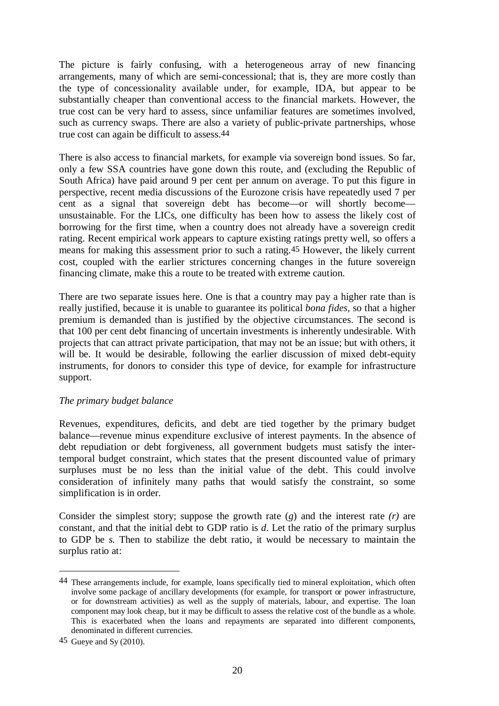The picture is fairly confusing, with a heterogeneous array of new financing arrangements, many of which are semi-concessional; that is, they are more costly than the type of concessionality available under, for example, IDA, but appear to be substantially cheaper than conventional access to the financial markets. However, the true cost can be very hard to assess, since unfamiliar features are sometimes involved, such as currency swaps. There are also a variety of public-private partnerships, whose true cost can again be difficult to assess.44

There is also access to financial markets, for example via sovereign bond issues. So far, only a few SSA countries have gone down this route, and (excluding the Republic of South Africa) have paid around 9 per cent per annum on average. To put this figure in perspective, recent media discussions of the Eurozone crisis have repeatedly used 7 per cent as a signal that sovereign debt has become—or will shortly become unsustainable. For the LICs, one difficulty has been how to assess the likely cost of borrowing for the first time, when a country does not already have a sovereign credit rating. Recent empirical work appears to capture existing ratings pretty well, so offers a means for making this assessment prior to such a rating.45 However, the likely current cost, coupled with the earlier strictures concerning changes in the future sovereign financing climate, make this a route to be treated with extreme caution.

There are two separate issues here. One is that a country may pay a higher rate than is really justified, because it is unable to guarantee its political *bona fides,* so that a higher premium is demanded than is justified by the objective circumstances. The second is that 100 per cent debt financing of uncertain investments is inherently undesirable. With projects that can attract private participation, that may not be an issue; but with others, it will be. It would be desirable, following the earlier discussion of mixed debt-equity instruments, for donors to consider this type of device, for example for infrastructure support.

### *The primary budget balance*

Revenues, expenditures, deficits, and debt are tied together by the primary budget balance—revenue minus expenditure exclusive of interest payments. In the absence of debt repudiation or debt forgiveness, all government budgets must satisfy the intertemporal budget constraint, which states that the present discounted value of primary surpluses must be no less than the initial value of the debt. This could involve consideration of infinitely many paths that would satisfy the constraint, so some simplification is in order.

Consider the simplest story; suppose the growth rate (*g*) and the interest rate *(r)* are constant, and that the initial debt to GDP ratio is *d*. Let the ratio of the primary surplus to GDP be *s.* Then to stabilize the debt ratio, it would be necessary to maintain the surplus ratio at:

<sup>44</sup> These arrangements include, for example, loans specifically tied to mineral exploitation, which often involve some package of ancillary developments (for example, for transport or power infrastructure, or for downstream activities) as well as the supply of materials, labour, and expertise. The loan component may look cheap, but it may be difficult to assess the relative cost of the bundle as a whole. This is exacerbated when the loans and repayments are separated into different components, denominated in different currencies.

<sup>45</sup> Gueye and Sy (2010).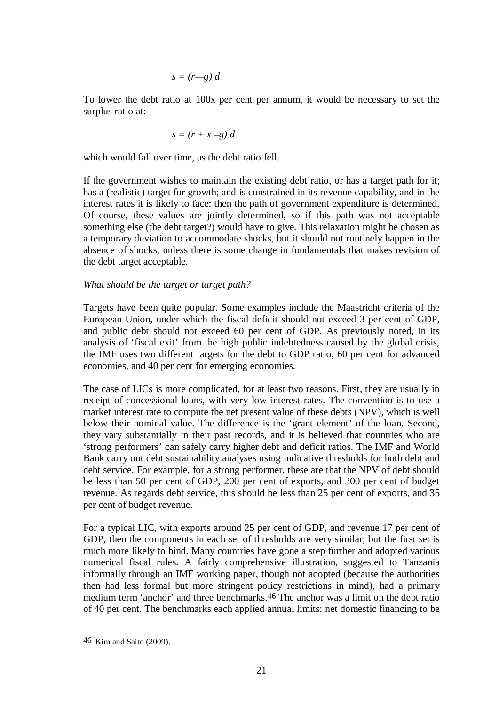$$
s=(r-g) d
$$

To lower the debt ratio at 100x per cent per annum, it would be necessary to set the surplus ratio at:

$$
s = (r + x - g) d
$$

which would fall over time, as the debt ratio fell.

If the government wishes to maintain the existing debt ratio, or has a target path for it; has a (realistic) target for growth; and is constrained in its revenue capability, and in the interest rates it is likely to face: then the path of government expenditure is determined. Of course, these values are jointly determined, so if this path was not acceptable something else (the debt target?) would have to give. This relaxation might be chosen as a temporary deviation to accommodate shocks, but it should not routinely happen in the absence of shocks, unless there is some change in fundamentals that makes revision of the debt target acceptable.

#### *What should be the target or target path?*

Targets have been quite popular. Some examples include the Maastricht criteria of the European Union, under which the fiscal deficit should not exceed 3 per cent of GDP, and public debt should not exceed 60 per cent of GDP. As previously noted, in its analysis of 'fiscal exit' from the high public indebtedness caused by the global crisis, the IMF uses two different targets for the debt to GDP ratio, 60 per cent for advanced economies, and 40 per cent for emerging economies.

The case of LICs is more complicated, for at least two reasons. First, they are usually in receipt of concessional loans, with very low interest rates. The convention is to use a market interest rate to compute the net present value of these debts (NPV), which is well below their nominal value. The difference is the 'grant element' of the loan. Second, they vary substantially in their past records, and it is believed that countries who are 'strong performers' can safely carry higher debt and deficit ratios. The IMF and World Bank carry out debt sustainability analyses using indicative thresholds for both debt and debt service. For example, for a strong performer, these are that the NPV of debt should be less than 50 per cent of GDP, 200 per cent of exports, and 300 per cent of budget revenue. As regards debt service, this should be less than 25 per cent of exports, and 35 per cent of budget revenue.

For a typical LIC, with exports around 25 per cent of GDP, and revenue 17 per cent of GDP, then the components in each set of thresholds are very similar, but the first set is much more likely to bind. Many countries have gone a step further and adopted various numerical fiscal rules. A fairly comprehensive illustration, suggested to Tanzania informally through an IMF working paper, though not adopted (because the authorities then had less formal but more stringent policy restrictions in mind), had a primary medium term 'anchor' and three benchmarks.46 The anchor was a limit on the debt ratio of 40 per cent. The benchmarks each applied annual limits: net domestic financing to be

<u>.</u>

<sup>46</sup> Kim and Saito (2009).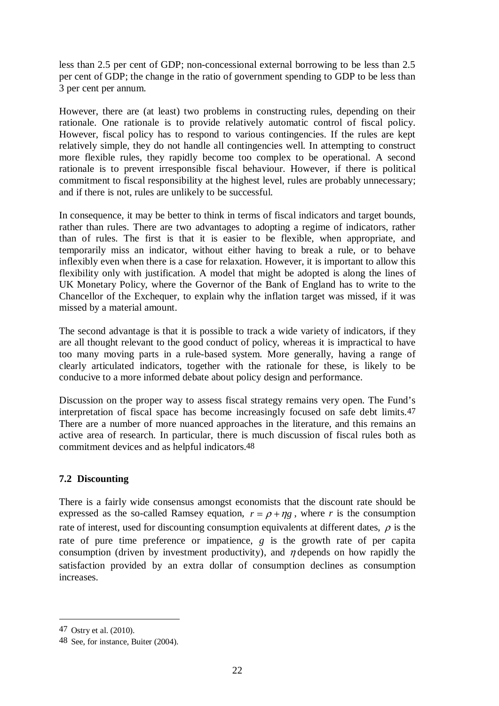less than 2.5 per cent of GDP; non-concessional external borrowing to be less than 2.5 per cent of GDP; the change in the ratio of government spending to GDP to be less than 3 per cent per annum.

However, there are (at least) two problems in constructing rules, depending on their rationale. One rationale is to provide relatively automatic control of fiscal policy. However, fiscal policy has to respond to various contingencies. If the rules are kept relatively simple, they do not handle all contingencies well. In attempting to construct more flexible rules, they rapidly become too complex to be operational. A second rationale is to prevent irresponsible fiscal behaviour. However, if there is political commitment to fiscal responsibility at the highest level, rules are probably unnecessary; and if there is not, rules are unlikely to be successful.

In consequence, it may be better to think in terms of fiscal indicators and target bounds, rather than rules. There are two advantages to adopting a regime of indicators, rather than of rules. The first is that it is easier to be flexible, when appropriate, and temporarily miss an indicator, without either having to break a rule, or to behave inflexibly even when there is a case for relaxation. However, it is important to allow this flexibility only with justification. A model that might be adopted is along the lines of UK Monetary Policy, where the Governor of the Bank of England has to write to the Chancellor of the Exchequer, to explain why the inflation target was missed, if it was missed by a material amount.

The second advantage is that it is possible to track a wide variety of indicators, if they are all thought relevant to the good conduct of policy, whereas it is impractical to have too many moving parts in a rule-based system. More generally, having a range of clearly articulated indicators, together with the rationale for these, is likely to be conducive to a more informed debate about policy design and performance.

Discussion on the proper way to assess fiscal strategy remains very open. The Fund's interpretation of fiscal space has become increasingly focused on safe debt limits.47 There are a number of more nuanced approaches in the literature, and this remains an active area of research. In particular, there is much discussion of fiscal rules both as commitment devices and as helpful indicators.48

## **7.2 Discounting**

There is a fairly wide consensus amongst economists that the discount rate should be expressed as the so-called Ramsey equation,  $r = \rho + \eta g$ , where *r* is the consumption rate of interest, used for discounting consumption equivalents at different dates,  $\rho$  is the rate of pure time preference or impatience, *g* is the growth rate of per capita consumption (driven by investment productivity), and  $\eta$  depends on how rapidly the satisfaction provided by an extra dollar of consumption declines as consumption increases.

<sup>47</sup> Ostry et al. (2010).

<sup>48</sup> See, for instance, Buiter (2004).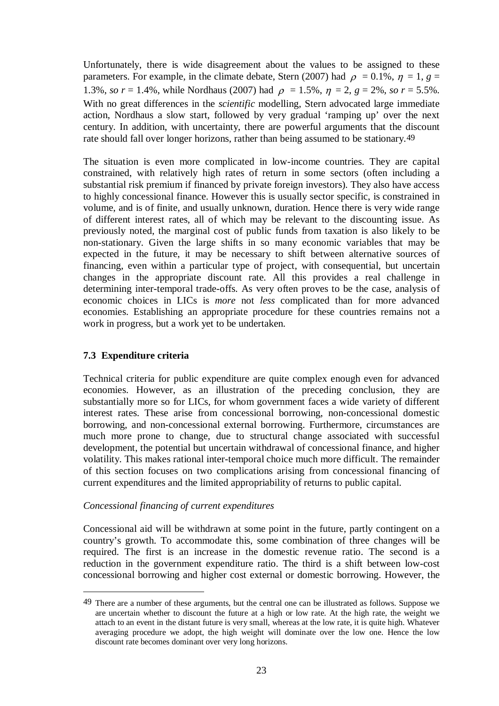Unfortunately, there is wide disagreement about the values to be assigned to these parameters. For example, in the climate debate, Stern (2007) had  $\rho = 0.1\%$ ,  $\eta = 1$ ,  $g =$ 1.3%, *so r* = 1.4%, while Nordhaus (2007) had  $\rho = 1.5\%$ ,  $\eta = 2$ ,  $g = 2\%$ , *so r* = 5.5%. With no great differences in the *scientific* modelling, Stern advocated large immediate action, Nordhaus a slow start, followed by very gradual 'ramping up' over the next century. In addition, with uncertainty, there are powerful arguments that the discount rate should fall over longer horizons, rather than being assumed to be stationary.49

The situation is even more complicated in low-income countries. They are capital constrained, with relatively high rates of return in some sectors (often including a substantial risk premium if financed by private foreign investors). They also have access to highly concessional finance. However this is usually sector specific, is constrained in volume, and is of finite, and usually unknown, duration. Hence there is very wide range of different interest rates, all of which may be relevant to the discounting issue. As previously noted, the marginal cost of public funds from taxation is also likely to be non-stationary. Given the large shifts in so many economic variables that may be expected in the future, it may be necessary to shift between alternative sources of financing, even within a particular type of project, with consequential, but uncertain changes in the appropriate discount rate. All this provides a real challenge in determining inter-temporal trade-offs. As very often proves to be the case, analysis of economic choices in LICs is *more* not *less* complicated than for more advanced economies. Establishing an appropriate procedure for these countries remains not a work in progress, but a work yet to be undertaken.

## **7.3 Expenditure criteria**

<u>.</u>

Technical criteria for public expenditure are quite complex enough even for advanced economies. However, as an illustration of the preceding conclusion, they are substantially more so for LICs, for whom government faces a wide variety of different interest rates. These arise from concessional borrowing, non-concessional domestic borrowing, and non-concessional external borrowing. Furthermore, circumstances are much more prone to change, due to structural change associated with successful development, the potential but uncertain withdrawal of concessional finance, and higher volatility. This makes rational inter-temporal choice much more difficult. The remainder of this section focuses on two complications arising from concessional financing of current expenditures and the limited appropriability of returns to public capital.

## *Concessional financing of current expenditures*

Concessional aid will be withdrawn at some point in the future, partly contingent on a country's growth. To accommodate this, some combination of three changes will be required. The first is an increase in the domestic revenue ratio. The second is a reduction in the government expenditure ratio. The third is a shift between low-cost concessional borrowing and higher cost external or domestic borrowing. However, the

<sup>49</sup> There are a number of these arguments, but the central one can be illustrated as follows. Suppose we are uncertain whether to discount the future at a high or low rate. At the high rate, the weight we attach to an event in the distant future is very small, whereas at the low rate, it is quite high. Whatever averaging procedure we adopt, the high weight will dominate over the low one. Hence the low discount rate becomes dominant over very long horizons.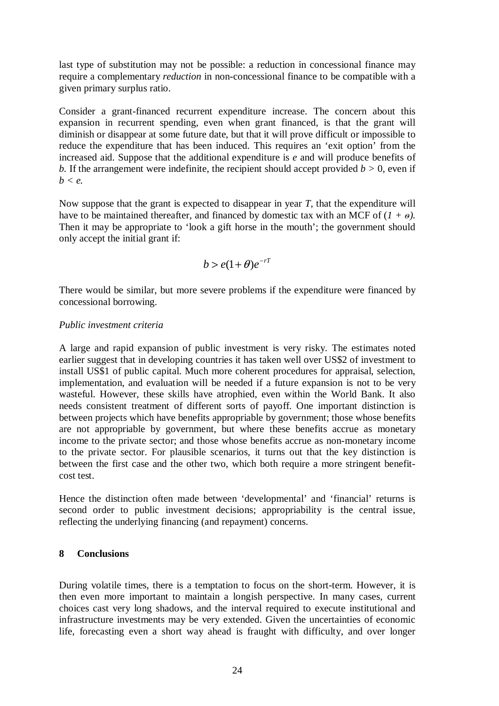last type of substitution may not be possible: a reduction in concessional finance may require a complementary *reduction* in non-concessional finance to be compatible with a given primary surplus ratio.

Consider a grant-financed recurrent expenditure increase. The concern about this expansion in recurrent spending, even when grant financed, is that the grant will diminish or disappear at some future date, but that it will prove difficult or impossible to reduce the expenditure that has been induced. This requires an 'exit option' from the increased aid. Suppose that the additional expenditure is *e* and will produce benefits of *b.* If the arrangement were indefinite, the recipient should accept provided  $b > 0$ , even if  $b < e$ .

Now suppose that the grant is expected to disappear in year *T*, that the expenditure will have to be maintained thereafter, and financed by domestic tax with an MCF of  $(I + \theta)$ . Then it may be appropriate to 'look a gift horse in the mouth'; the government should only accept the initial grant if:

$$
b > e(1+\theta)e^{-rT}
$$

There would be similar, but more severe problems if the expenditure were financed by concessional borrowing.

### *Public investment criteria*

A large and rapid expansion of public investment is very risky. The estimates noted earlier suggest that in developing countries it has taken well over US\$2 of investment to install US\$1 of public capital. Much more coherent procedures for appraisal, selection, implementation, and evaluation will be needed if a future expansion is not to be very wasteful. However, these skills have atrophied, even within the World Bank. It also needs consistent treatment of different sorts of payoff. One important distinction is between projects which have benefits appropriable by government; those whose benefits are not appropriable by government, but where these benefits accrue as monetary income to the private sector; and those whose benefits accrue as non-monetary income to the private sector. For plausible scenarios, it turns out that the key distinction is between the first case and the other two, which both require a more stringent benefitcost test.

Hence the distinction often made between 'developmental' and 'financial' returns is second order to public investment decisions; appropriability is the central issue, reflecting the underlying financing (and repayment) concerns.

### **8 Conclusions**

During volatile times, there is a temptation to focus on the short-term. However, it is then even more important to maintain a longish perspective. In many cases, current choices cast very long shadows, and the interval required to execute institutional and infrastructure investments may be very extended. Given the uncertainties of economic life, forecasting even a short way ahead is fraught with difficulty, and over longer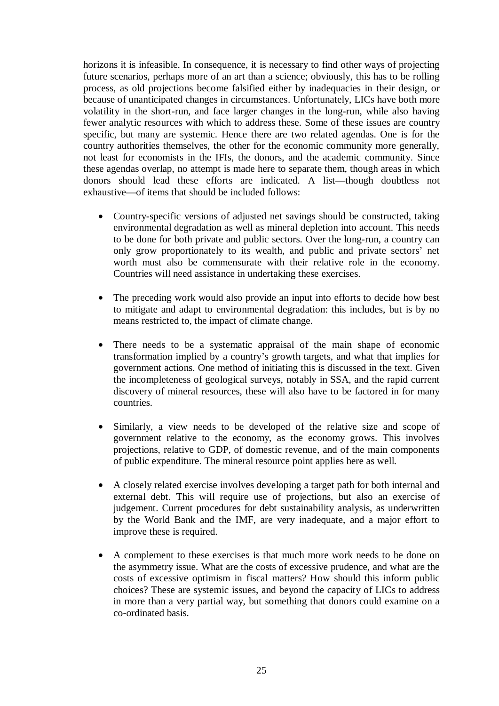horizons it is infeasible. In consequence, it is necessary to find other ways of projecting future scenarios, perhaps more of an art than a science; obviously, this has to be rolling process, as old projections become falsified either by inadequacies in their design, or because of unanticipated changes in circumstances. Unfortunately, LICs have both more volatility in the short-run, and face larger changes in the long-run, while also having fewer analytic resources with which to address these. Some of these issues are country specific, but many are systemic. Hence there are two related agendas. One is for the country authorities themselves, the other for the economic community more generally, not least for economists in the IFIs, the donors, and the academic community. Since these agendas overlap, no attempt is made here to separate them, though areas in which donors should lead these efforts are indicated. A list—though doubtless not exhaustive—of items that should be included follows:

- Country-specific versions of adjusted net savings should be constructed, taking environmental degradation as well as mineral depletion into account. This needs to be done for both private and public sectors. Over the long-run, a country can only grow proportionately to its wealth, and public and private sectors' net worth must also be commensurate with their relative role in the economy. Countries will need assistance in undertaking these exercises.
- The preceding work would also provide an input into efforts to decide how best to mitigate and adapt to environmental degradation: this includes, but is by no means restricted to, the impact of climate change.
- There needs to be a systematic appraisal of the main shape of economic transformation implied by a country's growth targets, and what that implies for government actions. One method of initiating this is discussed in the text. Given the incompleteness of geological surveys, notably in SSA, and the rapid current discovery of mineral resources, these will also have to be factored in for many countries.
- Similarly, a view needs to be developed of the relative size and scope of government relative to the economy, as the economy grows. This involves projections, relative to GDP, of domestic revenue, and of the main components of public expenditure. The mineral resource point applies here as well.
- A closely related exercise involves developing a target path for both internal and external debt. This will require use of projections, but also an exercise of judgement. Current procedures for debt sustainability analysis, as underwritten by the World Bank and the IMF, are very inadequate, and a major effort to improve these is required.
- A complement to these exercises is that much more work needs to be done on the asymmetry issue. What are the costs of excessive prudence, and what are the costs of excessive optimism in fiscal matters? How should this inform public choices? These are systemic issues, and beyond the capacity of LICs to address in more than a very partial way, but something that donors could examine on a co-ordinated basis.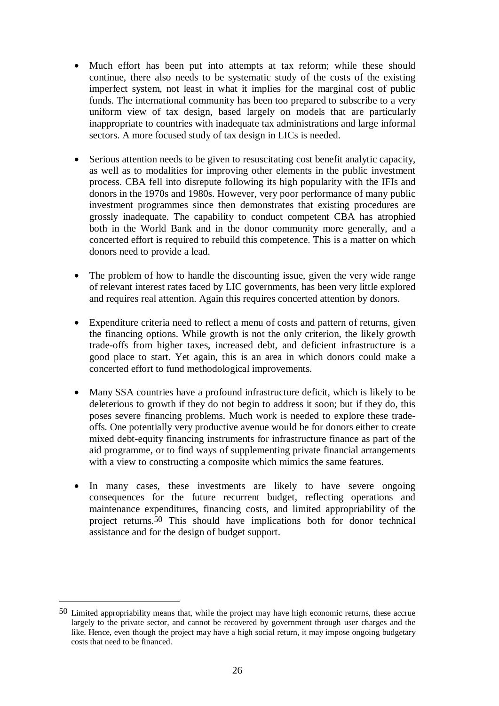- Much effort has been put into attempts at tax reform; while these should continue, there also needs to be systematic study of the costs of the existing imperfect system, not least in what it implies for the marginal cost of public funds. The international community has been too prepared to subscribe to a very uniform view of tax design, based largely on models that are particularly inappropriate to countries with inadequate tax administrations and large informal sectors. A more focused study of tax design in LICs is needed.
- Serious attention needs to be given to resuscitating cost benefit analytic capacity, as well as to modalities for improving other elements in the public investment process. CBA fell into disrepute following its high popularity with the IFIs and donors in the 1970s and 1980s. However, very poor performance of many public investment programmes since then demonstrates that existing procedures are grossly inadequate. The capability to conduct competent CBA has atrophied both in the World Bank and in the donor community more generally, and a concerted effort is required to rebuild this competence. This is a matter on which donors need to provide a lead.
- The problem of how to handle the discounting issue, given the very wide range of relevant interest rates faced by LIC governments, has been very little explored and requires real attention. Again this requires concerted attention by donors.
- Expenditure criteria need to reflect a menu of costs and pattern of returns, given the financing options. While growth is not the only criterion, the likely growth trade-offs from higher taxes, increased debt, and deficient infrastructure is a good place to start. Yet again, this is an area in which donors could make a concerted effort to fund methodological improvements.
- Many SSA countries have a profound infrastructure deficit, which is likely to be deleterious to growth if they do not begin to address it soon; but if they do, this poses severe financing problems. Much work is needed to explore these tradeoffs. One potentially very productive avenue would be for donors either to create mixed debt-equity financing instruments for infrastructure finance as part of the aid programme, or to find ways of supplementing private financial arrangements with a view to constructing a composite which mimics the same features.
- In many cases, these investments are likely to have severe ongoing consequences for the future recurrent budget, reflecting operations and maintenance expenditures, financing costs, and limited appropriability of the project returns.50 This should have implications both for donor technical assistance and for the design of budget support.

<sup>50</sup> Limited appropriability means that, while the project may have high economic returns, these accrue largely to the private sector, and cannot be recovered by government through user charges and the like. Hence, even though the project may have a high social return, it may impose ongoing budgetary costs that need to be financed.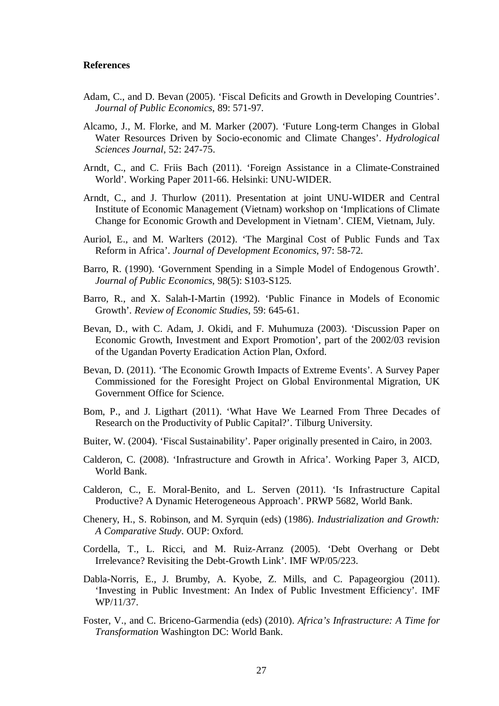#### **References**

- Adam, C., and D. Bevan (2005). 'Fiscal Deficits and Growth in Developing Countries'. *Journal of Public Economics*, 89: 571-97.
- Alcamo, J., M. Florke, and M. Marker (2007). 'Future Long-term Changes in Global Water Resources Driven by Socio-economic and Climate Changes'. *Hydrological Sciences Journal*, 52: 247-75.
- Arndt, C., and C. Friis Bach (2011). 'Foreign Assistance in a Climate-Constrained World'. Working Paper 2011-66. Helsinki: UNU-WIDER.
- Arndt, C., and J. Thurlow (2011). Presentation at joint UNU-WIDER and Central Institute of Economic Management (Vietnam) workshop on 'Implications of Climate Change for Economic Growth and Development in Vietnam'. CIEM, Vietnam, July.
- Auriol, E., and M. Warlters (2012). 'The Marginal Cost of Public Funds and Tax Reform in Africa'. *Journal of Development Economics*, 97: 58-72.
- Barro, R. (1990). 'Government Spending in a Simple Model of Endogenous Growth'. *Journal of Public Economics*, 98(5): S103-S125.
- Barro, R., and X. Salah-I-Martin (1992). 'Public Finance in Models of Economic Growth'. *Review of Economic Studies*, 59: 645-61.
- Bevan, D., with C. Adam, J. Okidi, and F. Muhumuza (2003). 'Discussion Paper on Economic Growth, Investment and Export Promotion', part of the 2002/03 revision of the Ugandan Poverty Eradication Action Plan, Oxford.
- Bevan, D. (2011). 'The Economic Growth Impacts of Extreme Events'. A Survey Paper Commissioned for the Foresight Project on Global Environmental Migration, UK Government Office for Science.
- Bom, P., and J. Ligthart (2011). 'What Have We Learned From Three Decades of Research on the Productivity of Public Capital?'. Tilburg University.
- Buiter, W. (2004). 'Fiscal Sustainability'. Paper originally presented in Cairo, in 2003.
- Calderon, C. (2008). 'Infrastructure and Growth in Africa'. Working Paper 3, AICD, World Bank.
- Calderon, C., E. Moral-Benito, and L. Serven (2011). 'Is Infrastructure Capital Productive? A Dynamic Heterogeneous Approach'. PRWP 5682, World Bank.
- Chenery, H., S. Robinson, and M. Syrquin (eds) (1986). *Industrialization and Growth: A Comparative Study*. OUP: Oxford.
- Cordella, T., L. Ricci, and M. Ruiz-Arranz (2005). 'Debt Overhang or Debt Irrelevance? Revisiting the Debt-Growth Link'. IMF WP/05/223.
- Dabla-Norris, E., J. Brumby, A. Kyobe, Z. Mills, and C. Papageorgiou (2011). 'Investing in Public Investment: An Index of Public Investment Efficiency'. IMF WP/11/37.
- Foster, V., and C. Briceno-Garmendia (eds) (2010). *Africa's Infrastructure: A Time for Transformation* Washington DC: World Bank.